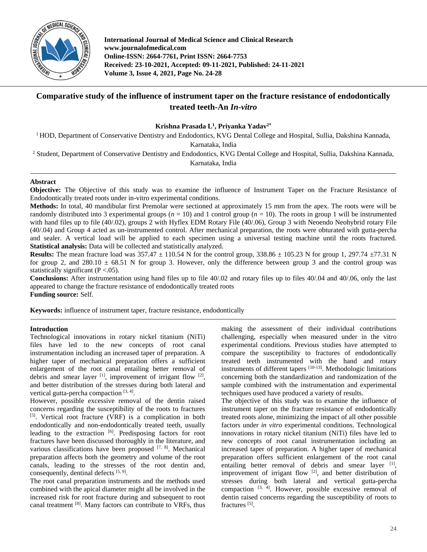

**International Journal of Medical Science and Clinical Research www.journalofmedical.com Online-ISSN: 2664-7761, Print ISSN: 2664-7753 Received: 23-10-2021, Accepted: 09-11-2021, Published: 24-11-2021 Volume 3, Issue 4, 2021, Page No. 24-28**

# **Comparative study of the influence of instrument taper on the fracture resistance of endodontically treated teeth-An** *In-vitro*

## **Krishna Prasada L<sup>1</sup> , Priyanka Yadav2\***

<sup>1</sup> HOD, Department of Conservative Dentistry and Endodontics, KVG Dental College and Hospital, Sullia, Dakshina Kannada,

Karnataka, India

<sup>2</sup> Student, Department of Conservative Dentistry and Endodontics, KVG Dental College and Hospital, Sullia, Dakshina Kannada,

Karnataka, India

## **Abstract**

**Objective:** The Objective of this study was to examine the influence of Instrument Taper on the Fracture Resistance of Endodontically treated roots under in-vitro experimental conditions.

**Methods:** In total, 40 mandibular first Premolar were sectioned at approximately 15 mm from the apex. The roots were will be randomly distributed into 3 experimental groups  $(n = 10)$  and 1 control group  $(n = 10)$ . The roots in group 1 will be instrumented with hand files up to file (40/.02), groups 2 with Hyflex EDM Rotary File (40/.06), Group 3 with Neoendo Neohybrid rotary File (40/.04) and Group 4 acted as un-instrumented control. After mechanical preparation, the roots were obturated with gutta-percha and sealer. A vertical load will be applied to each specimen using a universal testing machine until the roots fractured. **Statistical analysis:** Data will be collected and statistically analyzed.

**Results:** The mean fracture load was  $357.47 \pm 110.54$  N for the control group,  $338.86 \pm 105.23$  N for group 1,  $297.74 \pm 77.31$  N for group 2, and  $280.10 \pm 68.51$  N for group 3. However, only the difference between group 3 and the control group was statistically significant  $(P < .05)$ .

**Conclusions:** After instrumentation using hand files up to file 40/.02 and rotary files up to files 40/.04 and 40/.06, only the last appeared to change the fracture resistance of endodontically treated roots **Funding source:** Self.

**Keywords:** influence of instrument taper, fracture resistance, endodontically

## **Introduction**

Technological innovations in rotary nickel titanium (NiTi) files have led to the new concepts of root canal instrumentation including an increased taper of preparation. A higher taper of mechanical preparation offers a sufficient enlargement of the root canal entailing better removal of debris and smear layer  $[1]$ , improvement of irrigant flow  $[2]$ , and better distribution of the stresses during both lateral and vertical gutta-percha compaction [3, 4].

However, possible excessive removal of the dentin raised concerns regarding the susceptibility of the roots to fractures [5] . Vertical root fracture (VRF) is a complication in both endodontically and non-endodontically treated teeth, usually leading to the extraction  $\left[6\right]$ . Predisposing factors for root fractures have been discussed thoroughly in the literature, and various classifications have been proposed  $[7, 8]$ . Mechanical preparation affects both the geometry and volume of the root canals, leading to the stresses of the root dentin and, consequently, dentinal defects [5, 9].

The root canal preparation instruments and the methods used combined with the apical diameter might all be involved in the increased risk for root fracture during and subsequent to root canal treatment <sup>[8]</sup>. Many factors can contribute to VRFs, thus

making the assessment of their individual contributions challenging, especially when measured under in the vitro experimental conditions. Previous studies have attempted to compare the susceptibility to fractures of endodontically treated teeth instrumented with the hand and rotary instruments of different tapers [10-13] . Methodologic limitations concerning both the standardization and randomization of the sample combined with the instrumentation and experimental techniques used have produced a variety of results.

The objective of this study was to examine the influence of instrument taper on the fracture resistance of endodontically treated roots alone, minimizing the impact of all other possible factors under *in vitro* experimental conditions. Technological innovations in rotary nickel titanium (NiTi) files have led to new concepts of root canal instrumentation including an increased taper of preparation. A higher taper of mechanical preparation offers sufficient enlargement of the root canal entailing better removal of debris and smear layer [1], improvement of irrigant flow  $[2]$ , and better distribution of stresses during both lateral and vertical gutta-percha compaction  $[3, 4]$ . However, possible excessive removal of dentin raised concerns regarding the susceptibility of roots to fractures<sup>[5]</sup>.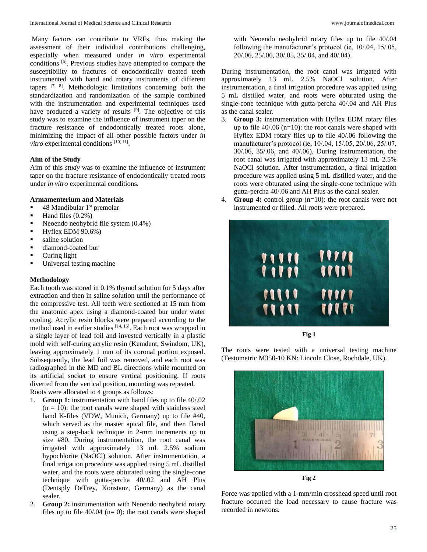Many factors can contribute to VRFs, thus making the assessment of their individual contributions challenging, especially when measured under *in vitro* experimental conditions [6] . Previous studies have attempted to compare the susceptibility to fractures of endodontically treated teeth instrumented with hand and rotary instruments of different tapers  $[7, 8]$ . Methodologic limitations concerning both the standardization and randomization of the sample combined with the instrumentation and experimental techniques used have produced a variety of results <sup>[9]</sup>. The objective of this study was to examine the influence of instrument taper on the fracture resistance of endodontically treated roots alone, minimizing the impact of all other possible factors under *in*  vitro experimental conditions [10, 11].

### **Aim of the Study**

Aim of this *study* was to examine the influence of instrument taper on the fracture resistance of endodontically treated roots under *in vitro* experimental conditions.

## **Armamenterium and Materials**

- $\blacksquare$  48 Mandibular 1<sup>st</sup> premolar
- $\blacksquare$  Hand files  $(0.2\%)$
- Neoendo neohybrid file system  $(0.4\%)$
- $-Hyflex EDM 90.6%$
- saline solution
- diamond-coated bur
- **Curing light**
- **Universal testing machine**

### **Methodology**

Each tooth was stored in 0.1% thymol solution for 5 days after extraction and then in saline solution until the performance of the compressive test. All teeth were sectioned at 15 mm from the anatomic apex using a diamond-coated bur under water cooling. Acrylic resin blocks were prepared according to the method used in earlier studies [14, 15]. Each root was wrapped in a single layer of lead foil and invested vertically in a plastic mold with self-curing acrylic resin (Kemdent, Swindom, UK), leaving approximately 1 mm of its coronal portion exposed. Subsequently, the lead foil was removed, and each root was radiographed in the MD and BL directions while mounted on its artificial socket to ensure vertical positioning. If roots diverted from the vertical position, mounting was repeated. Roots were allocated to 4 groups as follows:

- 1. **Group 1:** instrumentation with hand files up to file 40/.02  $(n = 10)$ : the root canals were shaped with stainless steel hand K-files (VDW, Munich, Germany) up to file #40, which served as the master apical file, and then flared using a step-back technique in 2-mm increments up to size #80. During instrumentation, the root canal was irrigated with approximately 13 mL 2.5% sodium hypochlorite (NaOCl) solution. After instrumentation, a final irrigation procedure was applied using 5 mL distilled water, and the roots were obturated using the single-cone technique with gutta-percha 40/.02 and AH Plus (Dentsply DeTrey, Konstanz, Germany) as the canal sealer.
- 2. **Group 2:** instrumentation with Neoendo neohybrid rotary files up to file  $40/04$  (n= 0): the root canals were shaped

with Neoendo neohybrid rotary files up to file 40/.04 following the manufacturer's protocol (ie, 10/.04, 15/.05, 20/.06, 25/.06, 30/.05, 35/.04, and 40/.04).

During instrumentation, the root canal was irrigated with approximately 13 mL 2.5% NaOCl solution. After instrumentation, a final irrigation procedure was applied using 5 mL distilled water, and roots were obturated using the single-cone technique with gutta-percha 40/.04 and AH Plus as the canal sealer.

- 3. **Group 3:** instrumentation with Hyflex EDM rotary files up to file 40/.06 (n=10): the root canals were shaped with Hyflex EDM rotary files up to file 40/.06 following the manufacturer's protocol (ie, 10/.04, 15/.05, 20/.06, 25/.07, 30/.06, 35/.06, and 40/.06). During instrumentation, the root canal was irrigated with approximately 13 mL 2.5% NaOCl solution. After instrumentation, a final irrigation procedure was applied using 5 mL distilled water, and the roots were obturated using the single-cone technique with gutta-percha 40/.06 and AH Plus as the canal sealer.
- 4. **Group 4:** control group (n=10): the root canals were not instrumented or filled. All roots were prepared.



**Fig 1**

The roots were tested with a universal testing machine (Testometric M350-10 KN: Lincoln Close, Rochdale, UK).



**Fig 2**

Force was applied with a 1-mm/min crosshead speed until root fracture occurred the load necessary to cause fracture was recorded in newtons.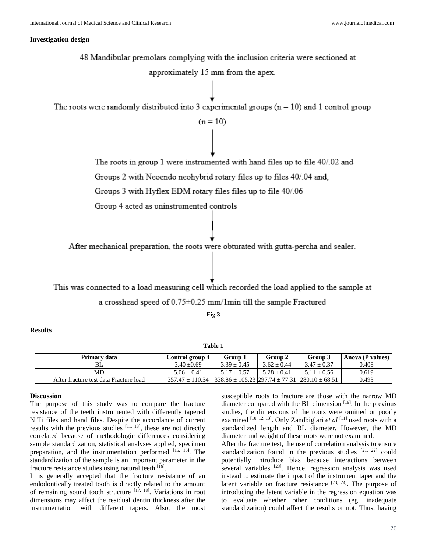#### **Investigation design**

48 Mandibular premolars complying with the inclusion criteria were sectioned at approximately 15 mm from the apex. The roots were randomly distributed into 3 experimental groups ( $n = 10$ ) and 1 control group  $(n = 10)$ The roots in group 1 were instrumented with hand files up to file 40/.02 and Groups 2 with Neoendo neohybrid rotary files up to files 40/.04 and, Groups 3 with Hyflex EDM rotary files files up to file 40/.06 Group 4 acted as uninstrumented controls After mechanical preparation, the roots were obturated with gutta-percha and sealer. This was connected to a load measuring cell which recorded the load applied to the sample at a crosshead speed of 0.75±0.25 mm/1min till the sample Fractured **Fig 3**

## **Results**

**Table 1**

| Primary data                           | Control group 4                                                                  | Group 1       | Group 2         | Group 3       | Anova (P values) |
|----------------------------------------|----------------------------------------------------------------------------------|---------------|-----------------|---------------|------------------|
| BL                                     | $3.40 + 0.69$                                                                    | $3.39 + 0.45$ | $3.62 \pm 0.44$ | $3.47 + 0.37$ | 0.408            |
| MD                                     | $5.06 + 0.41$                                                                    | $5.17 + 0.57$ | $5.28 + 0.41$   | $5.11 + 0.56$ | 0.619            |
| After fracture test data Fracture load | $357.47 \pm 110.54$ $ 338.86 \pm 105.23$ $ 297.74 \pm 77.31$ $ 280.10 \pm 68.51$ |               |                 |               | 0.493            |

#### **Discussion**

The purpose of this study was to compare the fracture resistance of the teeth instrumented with differently tapered NiTi files and hand files. Despite the accordance of current results with the previous studies  $[11, 13]$ , these are not directly correlated because of methodologic differences considering sample standardization, statistical analyses applied, specimen preparation, and the instrumentation performed [15, 16]. The standardization of the sample is an important parameter in the fracture resistance studies using natural teeth [16].

It is generally accepted that the fracture resistance of an endodontically treated tooth is directly related to the amount of remaining sound tooth structure  $[17, 18]$ . Variations in root dimensions may affect the residual dentin thickness after the instrumentation with different tapers. Also, the most susceptible roots to fracture are those with the narrow MD diameter compared with the BL dimension [19]. In the previous studies, the dimensions of the roots were omitted or poorly examined <sup>[10, 12, 13]</sup>. Only Zandbiglari *et al* <sup>[11]</sup> used roots with a standardized length and BL diameter. However, the MD diameter and weight of these roots were not examined.

After the fracture test, the use of correlation analysis to ensure standardization found in the previous studies  $[21, 22]$  could potentially introduce bias because interactions between several variables <sup>[23]</sup>. Hence, regression analysis was used instead to estimate the impact of the instrument taper and the latent variable on fracture resistance  $[23, 24]$ . The purpose of introducing the latent variable in the regression equation was to evaluate whether other conditions (eg, inadequate standardization) could affect the results or not. Thus, having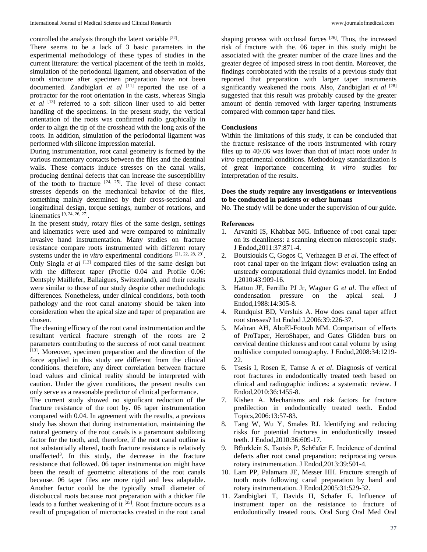controlled the analysis through the latent variable [22].

There seems to be a lack of 3 basic parameters in the experimental methodology of these types of studies in the current literature: the vertical placement of the teeth in molds, simulation of the periodontal ligament, and observation of the tooth structure after specimen preparation have not been documented. Zandbiglari et al <sup>[11]</sup> reported the use of a protractor for the root orientation in the casts, whereas Singla *et al* [13] referred to a soft silicon liner used to aid better handling of the specimens. In the present study, the vertical orientation of the roots was confirmed radio graphically in order to align the tip of the crosshead with the long axis of the roots. In addition, simulation of the periodontal ligament was performed with silicone impression material.

During instrumentation, root canal geometry is formed by the various momentary contacts between the files and the dentinal walls. These contacts induce stresses on the canal walls, producing dentinal defects that can increase the susceptibility of the tooth to fracture  $[24, 25]$ . The level of these contact stresses depends on the mechanical behavior of the files, something mainly determined by their cross-sectional and longitudinal design, torque settings, number of rotations, and kinematics [9, 24, 26, 27] .

In the present study, rotary files of the same design, settings and kinematics were used and were compared to minimally invasive hand instrumentation. Many studies on fracture resistance compare roots instrumented with different rotary systems under the *in vitro* experimental conditions <sup>[21, 22, 28, 29].</sup> Only Singla *et al* <sup>[13]</sup> compared files of the same design but with the different taper (Profile 0.04 and Profile 0.06: Dentsply Maillefer, Ballaigues, Switzerland), and their results were similar to those of our study despite other methodologic differences. Nonetheless, under clinical conditions, both tooth pathology and the root canal anatomy should be taken into consideration when the apical size and taper of preparation are chosen.

The cleaning efficacy of the root canal instrumentation and the resultant vertical fracture strength of the roots are 2 parameters contributing to the success of root canal treatment [13]. Moreover, specimen preparation and the direction of the force applied in this study are different from the clinical conditions. therefore, any direct correlation between fracture load values and clinical reality should be interpreted with caution. Under the given conditions, the present results can only serve as a reasonable predictor of clinical performance.

The current study showed no significant reduction of the fracture resistance of the root by. 06 taper instrumentation compared with 0.04. In agreement with the results, a previous study has shown that during instrumentation, maintaining the natural geometry of the root canals is a paramount stabilizing factor for the tooth, and, therefore, if the root canal outline is not substantially altered, tooth fracture resistance is relatively unaffected<sup>3</sup>. In this study, the decrease in the fracture resistance that followed. 06 taper instrumentation might have been the result of geometric alterations of the root canals because. 06 taper files are more rigid and less adaptable. Another factor could be the typically small diameter of distobuccal roots because root preparation with a thicker file leads to a further weakening of it  $^{[25]}$ . Root fracture occurs as a result of propagation of microcracks created in the root canal

shaping process with occlusal forces [26]. Thus, the increased risk of fracture with the. 06 taper in this study might be associated with the greater number of the craze lines and the greater degree of imposed stress in root dentin. Moreover, the findings corroborated with the results of a previous study that reported that preparation with larger taper instruments significantly weakened the roots. Also, Zandbiglari et al <sup>[28]</sup> suggested that this result was probably caused by the greater amount of dentin removed with larger tapering instruments compared with common taper hand files.

## **Conclusions**

Within the limitations of this study, it can be concluded that the fracture resistance of the roots instrumented with rotary files up to 40/.06 was lower than that of intact roots under *in vitro* experimental conditions. Methodology standardization is of great importance concerning *in vitro* studies for interpretation of the results.

## **Does the study require any investigations or interventions to be conducted in patients or other humans**

No. The study will be done under the supervision of our guide.

## **References**

- 1. Arvaniti IS, Khabbaz MG. Influence of root canal taper on its cleanliness: a scanning electron microscopic study. J Endod,2011:37:871-4.
- 2. Boutsioukis C, Gogos C, Verhaagen B *et al*. The effect of root canal taper on the irrigant flow: evaluation using an unsteady computational fluid dynamics model. Int Endod J,2010:43:909-16.
- 3. Hatton JF, Ferrillo PJ Jr, Wagner G *et al*. The effect of condensation pressure on the apical seal. J Endod,1988:14:305-8.
- 4. Rundquist BD, Versluis A. How does canal taper affect root stresses? Int Endod J,2006:39:226-37.
- 5. Mahran AH, AboEl-Fotouh MM. Comparison of effects of ProTaper, HeroShaper, and Gates Glidden burs on cervical dentine thickness and root canal volume by using multislice computed tomography. J Endod,2008:34:1219- 22.
- 6. Tsesis I, Rosen E, Tamse A *et al*. Diagnosis of vertical root fractures in endodontically treated teeth based on clinical and radiographic indices: a systematic review. J Endod,2010:36:1455-8.
- 7. Kishen A. Mechanisms and risk factors for fracture predilection in endodontically treated teeth. Endod Topics,2006:13:57-83.
- 8. Tang W, Wu Y, Smales RJ. Identifying and reducing risks for potential fractures in endodontically treated teeth. J Endod,2010:36:609-17.
- 9. B€urklein S, Tsotsis P, Sch€afer E. Incidence of dentinal defects after root canal preparation: reciprocating versus rotary instrumentation. J Endod,2013:39:501-4.
- 10. Lam PP, Palamara JE, Messer HH. Fracture strength of tooth roots following canal preparation by hand and rotary instrumentation. J Endod,2005:31:529-32.
- 11. Zandbiglari T, Davids H, Schafer E. Influence of instrument taper on the resistance to fracture of endodontically treated roots. Oral Surg Oral Med Oral